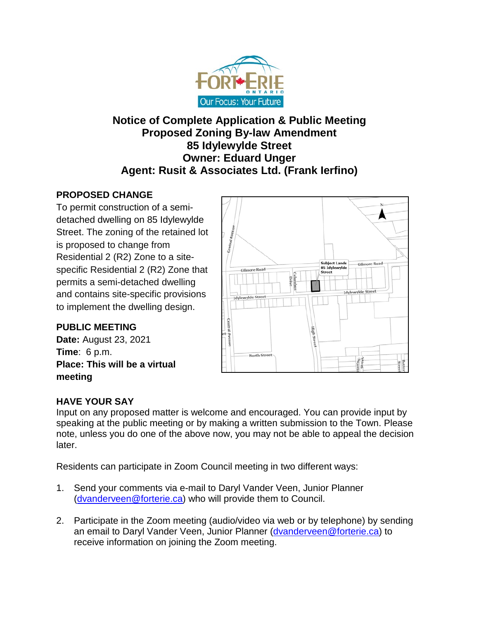

# **Notice of Complete Application & Public Meeting Proposed Zoning By-law Amendment 85 Idylewylde Street Owner: Eduard Unger Agent: Rusit & Associates Ltd. (Frank Ierfino)**

## **PROPOSED CHANGE**

To permit construction of a semidetached dwelling on 85 Idylewylde Street. The zoning of the retained lot is proposed to change from Residential 2 (R2) Zone to a sitespecific Residential 2 (R2) Zone that permits a semi-detached dwelling and contains site-specific provisions to implement the dwelling design.

## **PUBLIC MEETING**

**Date:** August 23, 2021 **Time**: 6 p.m. **Place: This will be a virtual meeting**



## **HAVE YOUR SAY**

Input on any proposed matter is welcome and encouraged. You can provide input by speaking at the public meeting or by making a written submission to the Town. Please note, unless you do one of the above now, you may not be able to appeal the decision later.

Residents can participate in Zoom Council meeting in two different ways:

- 1. Send your comments via e-mail to Daryl Vander Veen, Junior Planner [\(dvanderveen@forterie.ca\)](mailto:dvanderveen@forterie.ca) who will provide them to Council.
- 2. Participate in the Zoom meeting (audio/video via web or by telephone) by sending an email to Daryl Vander Veen, Junior Planner [\(dvanderveen@forterie.ca\)](mailto:dvanderveen@forterie.ca) to receive information on joining the Zoom meeting.